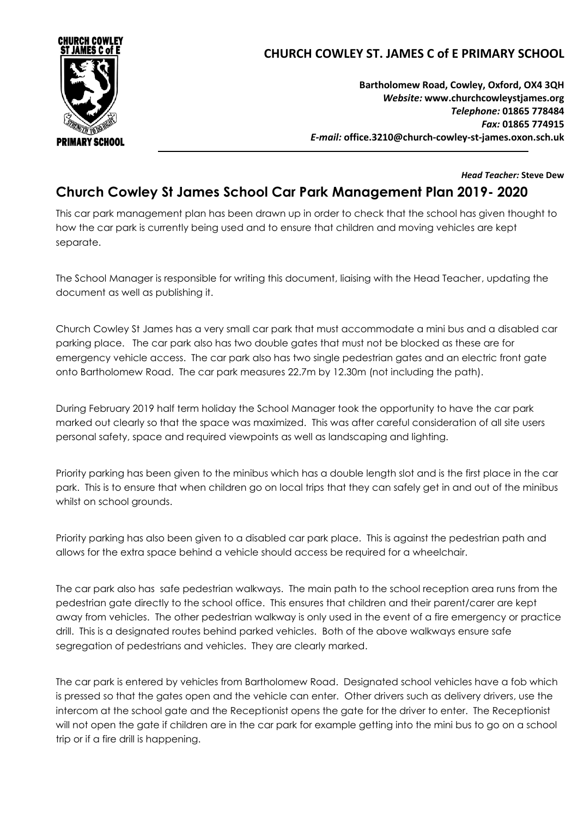

## **CHURCH COWLEY ST. JAMES C of E PRIMARY SCHOOL**

**Bartholomew Road, Cowley, Oxford, OX4 3QH** *Website:* **www[.churchcowleystjames.org](mailto:office.3210@church-cowley-st-james.oxon.sch.uk)** *Telephone:* **01865 778484** *Fax:* **01865 774915** *E-mail:* **office.3210@church-cowley-st-james.oxon.sch.uk**

*Head Teacher:* **Steve Dew**

## **Church Cowley St James School Car Park Management Plan 2019- 2020**

This car park management plan has been drawn up in order to check that the school has given thought to how the car park is currently being used and to ensure that children and moving vehicles are kept separate.

The School Manager is responsible for writing this document, liaising with the Head Teacher, updating the document as well as publishing it.

Church Cowley St James has a very small car park that must accommodate a mini bus and a disabled car parking place. The car park also has two double gates that must not be blocked as these are for emergency vehicle access. The car park also has two single pedestrian gates and an electric front gate onto Bartholomew Road. The car park measures 22.7m by 12.30m (not including the path).

During February 2019 half term holiday the School Manager took the opportunity to have the car park marked out clearly so that the space was maximized. This was after careful consideration of all site users personal safety, space and required viewpoints as well as landscaping and lighting.

Priority parking has been given to the minibus which has a double length slot and is the first place in the car park. This is to ensure that when children go on local trips that they can safely get in and out of the minibus whilst on school grounds.

Priority parking has also been given to a disabled car park place. This is against the pedestrian path and allows for the extra space behind a vehicle should access be required for a wheelchair.

The car park also has safe pedestrian walkways. The main path to the school reception area runs from the pedestrian gate directly to the school office. This ensures that children and their parent/carer are kept away from vehicles. The other pedestrian walkway is only used in the event of a fire emergency or practice drill. This is a designated routes behind parked vehicles. Both of the above walkways ensure safe segregation of pedestrians and vehicles. They are clearly marked.

The car park is entered by vehicles from Bartholomew Road. Designated school vehicles have a fob which is pressed so that the gates open and the vehicle can enter. Other drivers such as delivery drivers, use the intercom at the school gate and the Receptionist opens the gate for the driver to enter. The Receptionist will not open the gate if children are in the car park for example getting into the mini bus to go on a school trip or if a fire drill is happening.